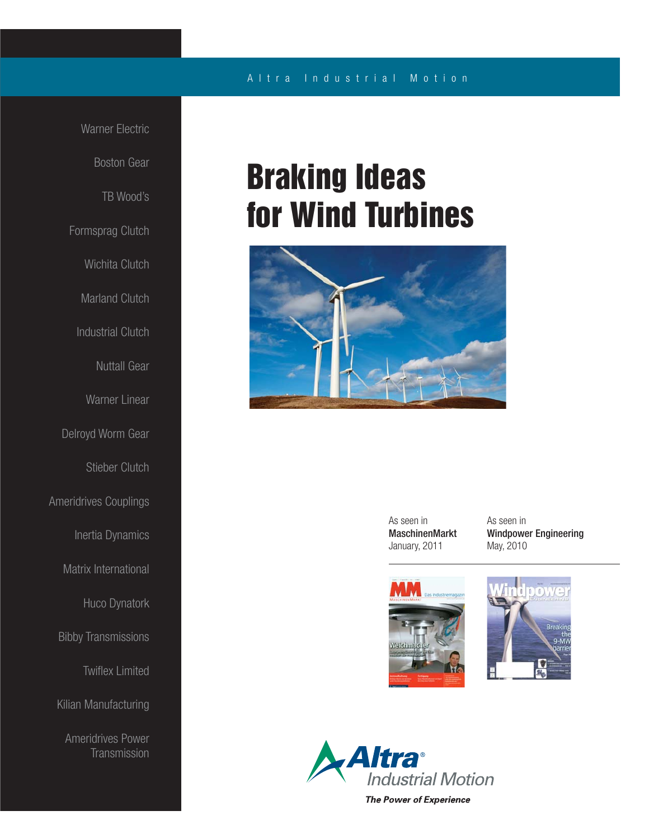### Altra Industrial Motion

 Warner Electric Boston Gear TB Wood's Formsprag Clutch Wichita Clutch Marland Clutch Industrial Clutch Nuttall Gear Warner Linear Delroyd Worm Gear Stieber Clutch Ameridrives Couplings Inertia Dynamics Matrix International Huco Dynatork Bibby Transmissions **Twiflex Limited** Kilian Manufacturing Ameridrives Power **Transmission** 

## **Braking Ideas for Wind Turbines**



 As seen in MaschinenMarkt January, 2011

 As seen in Windpower Engineering May, 2010







**The Power of Experience**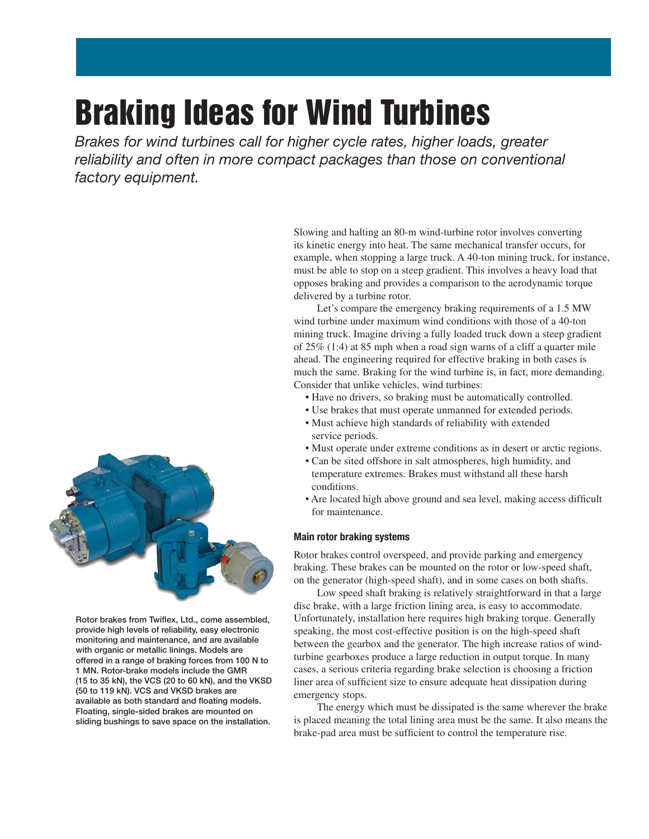# **Braking Ideas for Wind Turbines**

Brakes for wind turbines call for higher cycle rates, higher loads, greater reliability and often in more compact packages than those on conventional factory equipment.



Slowing and halting an 80-m wind-turbine rotor involves converting its kinetic energy into heat. The same mechanical transfer occurs, for

wind turbine under maximum wind conditions with those of a 40-ton mining truck. Imagine driving a fully loaded truck down a steep gradient of 25% (1:4) at 85 mph when a road sign warns of a cliff a quarter mile ahead. The engineering required for effective braking in both cases is much the same. Braking for the wind turbine is, in fact, more demanding. Consider that unlike vehicles, wind turbines:

- Have no drivers, so braking must be automatically controlled.
- Use brakes that must operate unmanned for extended periods.
- Must achieve high standards of reliability with extended service periods.
- Must operate under extreme conditions as in desert or arctic regions.
- Can be sited offshore in salt atmospheres, high humidity, and temperature extremes. Brakes must withstand all these harsh conditions.
- Are located high above ground and sea level, making access difficult for maintenance.

#### **Main rotor braking systems**

Rotor brakes control overspeed, and provide parking and emergency braking. These brakes can be mounted on the rotor or low-speed shaft, on the generator (high-speed shaft), and in some cases on both shafts.

 Low speed shaft braking is relatively straightforward in that a large disc brake, with a large friction lining area, is easy to accommodate. Unfortunately, installation here requires high braking torque. Generally speaking, the most cost-effective position is on the high-speed shaft between the gearbox and the generator. The high increase ratios of windturbine gearboxes produce a large reduction in output torque. In many cases, a serious criteria regarding brake selection is choosing a friction liner area of sufficient size to ensure adequate heat dissipation during emergency stops.

 The energy which must be dissipated is the same wherever the brake is placed meaning the total lining area must be the same. It also means the brake-pad area must be sufficient to control the temperature rise.



Rotor brakes from Twiflex, Ltd., come assembled, **provide high levels of reliability, easy electronic monitoring and maintenance, and are available with organic or metallic linings. Models are offered in a range of braking forces from 100 N to 1 MN. Rotor-brake models include the GMR (15 to 35 kN), the VCS (20 to 60 kN), and the VKSD (50 to 119 kN). VCS and VKSD brakes are**  available as both standard and floating models. **Floating, single-sided brakes are mounted on sliding bushings to save space on the installation.**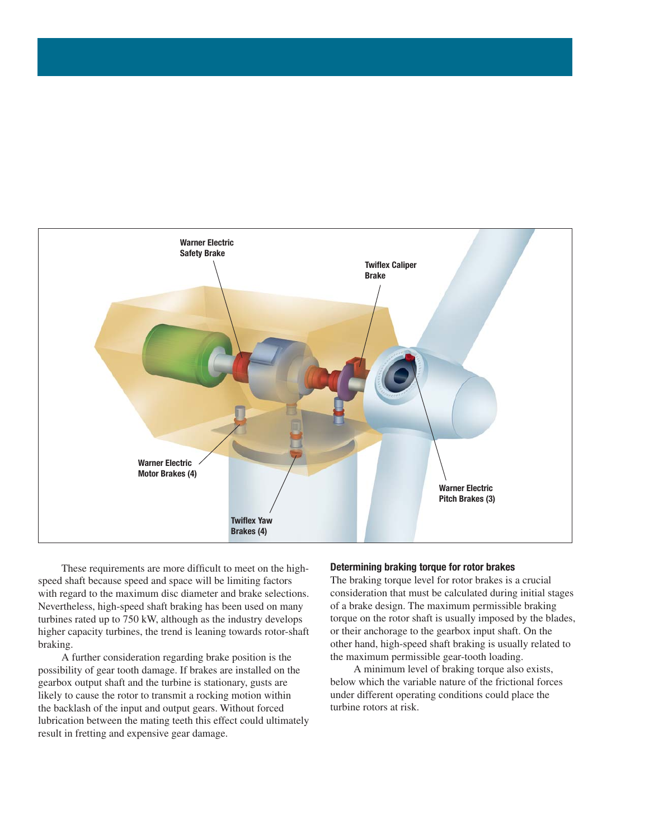

These requirements are more difficult to meet on the highspeed shaft because speed and space will be limiting factors with regard to the maximum disc diameter and brake selections. Nevertheless, high-speed shaft braking has been used on many turbines rated up to 750 kW, although as the industry develops higher capacity turbines, the trend is leaning towards rotor-shaft braking.

 A further consideration regarding brake position is the possibility of gear tooth damage. If brakes are installed on the gearbox output shaft and the turbine is stationary, gusts are likely to cause the rotor to transmit a rocking motion within the backlash of the input and output gears. Without forced lubrication between the mating teeth this effect could ultimately result in fretting and expensive gear damage.

#### **Determining braking torque for rotor brakes**

The braking torque level for rotor brakes is a crucial consideration that must be calculated during initial stages of a brake design. The maximum permissible braking torque on the rotor shaft is usually imposed by the blades, or their anchorage to the gearbox input shaft. On the other hand, high-speed shaft braking is usually related to the maximum permissible gear-tooth loading.

 A minimum level of braking torque also exists, below which the variable nature of the frictional forces under different operating conditions could place the turbine rotors at risk.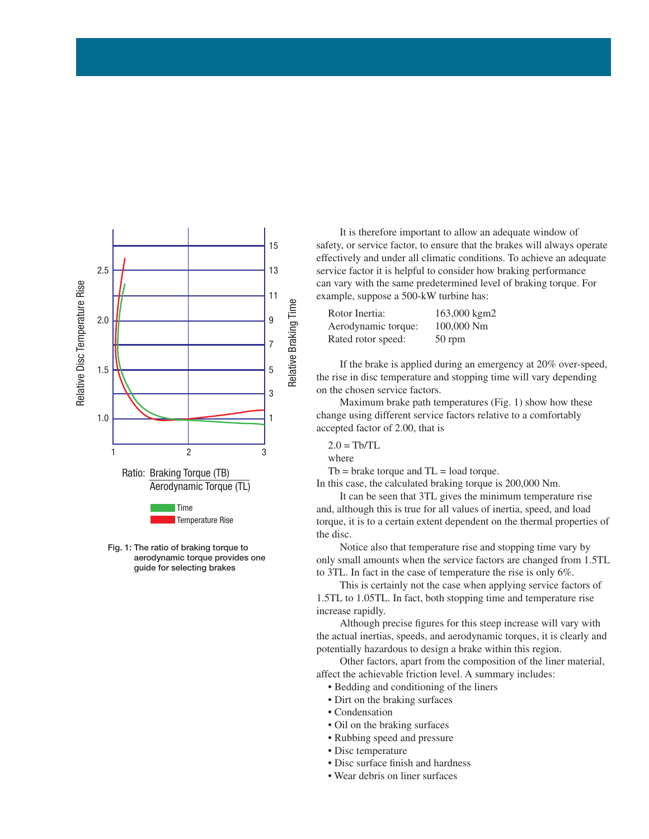



 It is therefore important to allow an adequate window of safety, or service factor, to ensure that the brakes will always operate effectively and under all climatic conditions. To achieve an adequate service factor it is helpful to consider how braking performance can vary with the same predetermined level of braking torque. For example, suppose a 500-kW turbine has:

| Rotor Inertia:      | 163,000 kgm2 |
|---------------------|--------------|
| Aerodynamic torque: | 100,000 Nm   |
| Rated rotor speed:  | 50 rpm       |

 If the brake is applied during an emergency at 20% over-speed, the rise in disc temperature and stopping time will vary depending on the chosen service factors.

 Maximum brake path temperatures (Fig. 1) show how these change using different service factors relative to a comfortably accepted factor of 2.00, that is

 $2.0 = Th/TL$ where

 $Tb =$  brake torque and  $TL =$  load torque.

In this case, the calculated braking torque is 200,000 Nm.

 It can be seen that 3TL gives the minimum temperature rise and, although this is true for all values of inertia, speed, and load torque, it is to a certain extent dependent on the thermal properties of the disc.

 Notice also that temperature rise and stopping time vary by only small amounts when the service factors are changed from 1.5TL to 3TL. In fact in the case of temperature the rise is only 6%.

 This is certainly not the case when applying service factors of 1.5TL to 1.05TL. In fact, both stopping time and temperature rise increase rapidly.

Although precise figures for this steep increase will vary with the actual inertias, speeds, and aerodynamic torques, it is clearly and potentially hazardous to design a brake within this region.

 Other factors, apart from the composition of the liner material, affect the achievable friction level. A summary includes:

- Bedding and conditioning of the liners
- Dirt on the braking surfaces
- Condensation
- Oil on the braking surfaces
- Rubbing speed and pressure
- Disc temperature
- Disc surface finish and hardness
- Wear debris on liner surfaces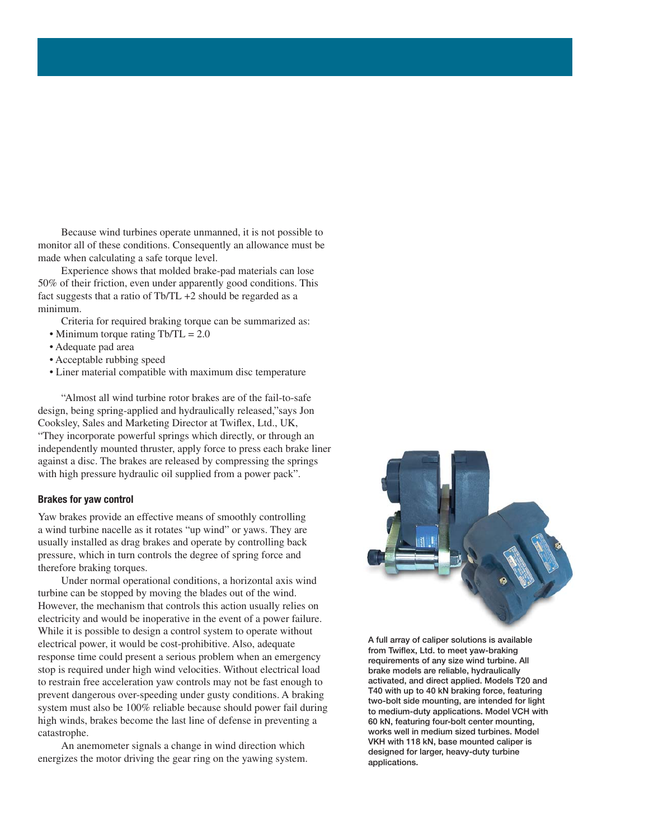Because wind turbines operate unmanned, it is not possible to monitor all of these conditions. Consequently an allowance must be made when calculating a safe torque level.

 Experience shows that molded brake-pad materials can lose 50% of their friction, even under apparently good conditions. This fact suggests that a ratio of Tb/TL +2 should be regarded as a minimum.

Criteria for required braking torque can be summarized as:

- Minimum torque rating Tb/TL = 2.0
- Adequate pad area
- Acceptable rubbing speed
- Liner material compatible with maximum disc temperature

 "Almost all wind turbine rotor brakes are of the fail-to-safe design, being spring-applied and hydraulically released,"says Jon Cooksley, Sales and Marketing Director at Twiflex, Ltd., UK, "They incorporate powerful springs which directly, or through an independently mounted thruster, apply force to press each brake liner against a disc. The brakes are released by compressing the springs with high pressure hydraulic oil supplied from a power pack".

#### **Brakes for yaw control**

Yaw brakes provide an effective means of smoothly controlling a wind turbine nacelle as it rotates "up wind" or yaws. They are usually installed as drag brakes and operate by controlling back pressure, which in turn controls the degree of spring force and therefore braking torques.

 Under normal operational conditions, a horizontal axis wind turbine can be stopped by moving the blades out of the wind. However, the mechanism that controls this action usually relies on electricity and would be inoperative in the event of a power failure. While it is possible to design a control system to operate without electrical power, it would be cost-prohibitive. Also, adequate response time could present a serious problem when an emergency stop is required under high wind velocities. Without electrical load to restrain free acceleration yaw controls may not be fast enough to prevent dangerous over-speeding under gusty conditions. A braking system must also be 100% reliable because should power fail during high winds, brakes become the last line of defense in preventing a catastrophe.

 An anemometer signals a change in wind direction which energizes the motor driving the gear ring on the yawing system.



**A full array of caliper solutions is available**  from Twiflex, Ltd. to meet yaw-braking **requirements of any size wind turbine. All brake models are reliable, hydraulically activated, and direct applied. Models T20 and T40 with up to 40 kN braking force, featuring two-bolt side mounting, are intended for light to medium-duty applications. Model VCH with 60 kN, featuring four-bolt center mounting, works well in medium sized turbines. Model VKH with 118 kN, base mounted caliper is designed for larger, heavy-duty turbine applications.**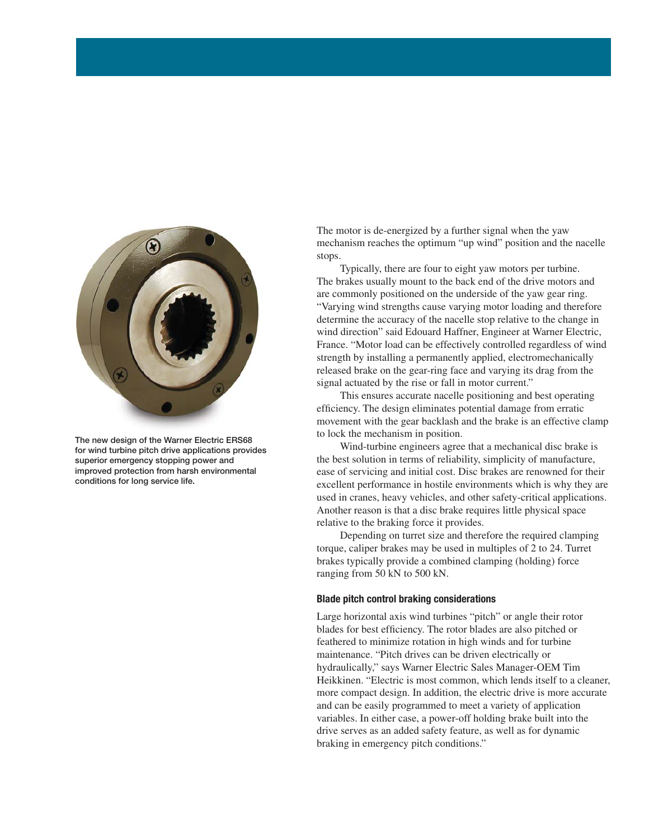

**The new design of the Warner Electric ERS68 for wind turbine pitch drive applications provides superior emergency stopping power and improved protection from harsh environmental conditions for long service life.**

The motor is de-energized by a further signal when the yaw mechanism reaches the optimum "up wind" position and the nacelle stops.

 Typically, there are four to eight yaw motors per turbine. The brakes usually mount to the back end of the drive motors and are commonly positioned on the underside of the yaw gear ring. "Varying wind strengths cause varying motor loading and therefore determine the accuracy of the nacelle stop relative to the change in wind direction" said Edouard Haffner, Engineer at Warner Electric, France. "Motor load can be effectively controlled regardless of wind strength by installing a permanently applied, electromechanically released brake on the gear-ring face and varying its drag from the signal actuated by the rise or fall in motor current."

 This ensures accurate nacelle positioning and best operating efficiency. The design eliminates potential damage from erratic movement with the gear backlash and the brake is an effective clamp to lock the mechanism in position.

 Wind-turbine engineers agree that a mechanical disc brake is the best solution in terms of reliability, simplicity of manufacture, ease of servicing and initial cost. Disc brakes are renowned for their excellent performance in hostile environments which is why they are used in cranes, heavy vehicles, and other safety-critical applications. Another reason is that a disc brake requires little physical space relative to the braking force it provides.

 Depending on turret size and therefore the required clamping torque, caliper brakes may be used in multiples of 2 to 24. Turret brakes typically provide a combined clamping (holding) force ranging from 50 kN to 500 kN.

#### **Blade pitch control braking considerations**

Large horizontal axis wind turbines "pitch" or angle their rotor blades for best efficiency. The rotor blades are also pitched or feathered to minimize rotation in high winds and for turbine maintenance. "Pitch drives can be driven electrically or hydraulically," says Warner Electric Sales Manager-OEM Tim Heikkinen. "Electric is most common, which lends itself to a cleaner, more compact design. In addition, the electric drive is more accurate and can be easily programmed to meet a variety of application variables. In either case, a power-off holding brake built into the drive serves as an added safety feature, as well as for dynamic braking in emergency pitch conditions."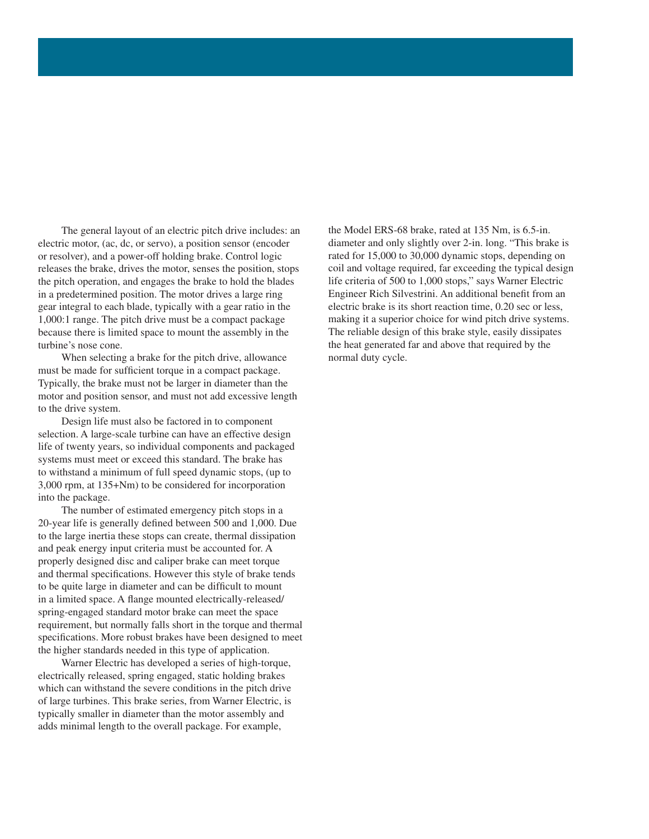The general layout of an electric pitch drive includes: an electric motor, (ac, dc, or servo), a position sensor (encoder or resolver), and a power-off holding brake. Control logic releases the brake, drives the motor, senses the position, stops the pitch operation, and engages the brake to hold the blades in a predetermined position. The motor drives a large ring gear integral to each blade, typically with a gear ratio in the 1,000:1 range. The pitch drive must be a compact package because there is limited space to mount the assembly in the turbine's nose cone.

 When selecting a brake for the pitch drive, allowance must be made for sufficient torque in a compact package. Typically, the brake must not be larger in diameter than the motor and position sensor, and must not add excessive length to the drive system.

 Design life must also be factored in to component selection. A large-scale turbine can have an effective design life of twenty years, so individual components and packaged systems must meet or exceed this standard. The brake has to withstand a minimum of full speed dynamic stops, (up to 3,000 rpm, at 135+Nm) to be considered for incorporation into the package.

 The number of estimated emergency pitch stops in a 20-year life is generally defined between 500 and 1,000. Due to the large inertia these stops can create, thermal dissipation and peak energy input criteria must be accounted for. A properly designed disc and caliper brake can meet torque and thermal specifications. However this style of brake tends to be quite large in diameter and can be difficult to mount in a limited space. A flange mounted electrically-released/ spring-engaged standard motor brake can meet the space requirement, but normally falls short in the torque and thermal specifications. More robust brakes have been designed to meet the higher standards needed in this type of application.

 Warner Electric has developed a series of high-torque, electrically released, spring engaged, static holding brakes which can withstand the severe conditions in the pitch drive of large turbines. This brake series, from Warner Electric, is typically smaller in diameter than the motor assembly and adds minimal length to the overall package. For example,

the Model ERS-68 brake, rated at 135 Nm, is 6.5-in. diameter and only slightly over 2-in. long. "This brake is rated for 15,000 to 30,000 dynamic stops, depending on coil and voltage required, far exceeding the typical design life criteria of 500 to 1,000 stops," says Warner Electric Engineer Rich Silvestrini. An additional benefit from an electric brake is its short reaction time, 0.20 sec or less, making it a superior choice for wind pitch drive systems. The reliable design of this brake style, easily dissipates the heat generated far and above that required by the normal duty cycle.